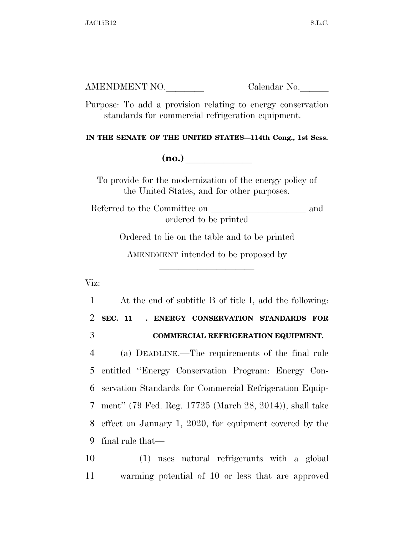Purpose: To add a provision relating to energy conservation standards for commercial refrigeration equipment.

**IN THE SENATE OF THE UNITED STATES—114th Cong., 1st Sess.** 

**(no.)**  $\qquad \qquad \blacksquare$ 

To provide for the modernization of the energy policy of the United States, and for other purposes.

Referred to the Committee on  $\hfill$  and ordered to be printed

Ordered to lie on the table and to be printed

AMENDMENT intended to be proposed by

lla se al constituit de la constituit de la constituit de la constituit de la constituit de la constituit de l<br>La constituit de la constituit de la constituit de la constituit de la constituit de la constituit de la const

Viz:

 At the end of subtitle B of title I, add the following: **SEC. 11**ll**. ENERGY CONSERVATION STANDARDS FOR COMMERCIAL REFRIGERATION EQUIPMENT.**  (a) DEADLINE.—The requirements of the final rule entitled ''Energy Conservation Program: Energy Con- servation Standards for Commercial Refrigeration Equip- ment'' (79 Fed. Reg. 17725 (March 28, 2014)), shall take effect on January 1, 2020, for equipment covered by the final rule that—

10 (1) uses natural refrigerants with a global 11 warming potential of 10 or less that are approved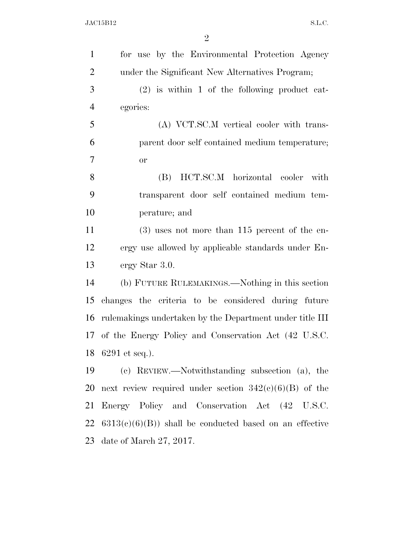| $\mathbf{1}$   | for use by the Environmental Protection Agency           |
|----------------|----------------------------------------------------------|
| $\overline{2}$ | under the Significant New Alternatives Program;          |
| 3              | $(2)$ is within 1 of the following product cat-          |
| $\overline{4}$ | egories:                                                 |
| 5              | (A) VCT.SC.M vertical cooler with trans-                 |
| 6              | parent door self contained medium temperature;           |
| $\overline{7}$ | <b>or</b>                                                |
| 8              | HCT.SC.M horizontal cooler<br>(B)<br>with                |
| 9              | transparent door self contained medium tem-              |
| 10             | perature; and                                            |
| 11             | $(3)$ uses not more than 115 percent of the en-          |
| 12             | ergy use allowed by applicable standards under En-       |
| 13             | ergy Star 3.0.                                           |
| 14             | (b) FUTURE RULEMAKINGS.—Nothing in this section          |
| 15             | changes the criteria to be considered during future      |
| 16             | rulemakings undertaken by the Department under title III |
|                | 17 of the Energy Policy and Conservation Act (42 U.S.C.  |
| 18             | 6291 et seq.).                                           |
| 19             | (c) REVIEW.—Notwithstanding subsection (a), the          |
| 20             | next review required under section $342(e)(6)(B)$ of the |
| 21             | Energy Policy and Conservation Act (42 U.S.C.            |
| 22             | $6313(c)(6)(B)$ shall be conducted based on an effective |
| 23             | date of March $27, 2017$ .                               |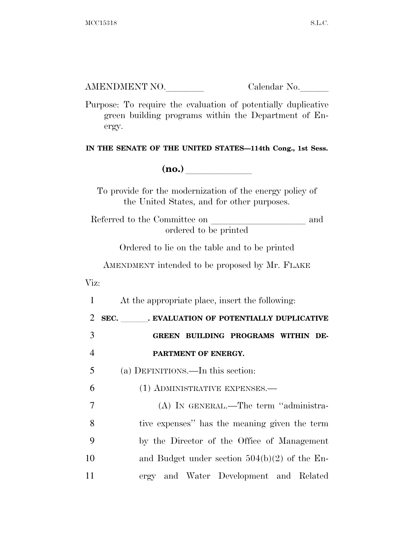Purpose: To require the evaluation of potentially duplicative green building programs within the Department of Energy.

**IN THE SENATE OF THE UNITED STATES—114th Cong., 1st Sess.** 

**(no.)**  $\qquad \qquad \blacksquare$ 

To provide for the modernization of the energy policy of the United States, and for other purposes.

Referred to the Committee on and ordered to be printed

Ordered to lie on the table and to be printed

AMENDMENT intended to be proposed by Mr. FLAKE

Viz:

 At the appropriate place, insert the following: 2 SEC. BYALUATION OF POTENTIALLY DUPLICATIVE **GREEN BUILDING PROGRAMS WITHIN DE- PARTMENT OF ENERGY.**  (a) DEFINITIONS.—In this section: (1) ADMINISTRATIVE EXPENSES.— (A) IN GENERAL.—The term ''administra- tive expenses'' has the meaning given the term by the Director of the Office of Management and Budget under section 504(b)(2) of the En-ergy and Water Development and Related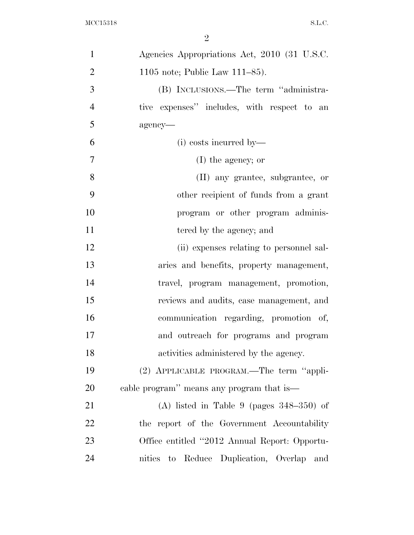| $\mathbf{1}$   | Agencies Appropriations Act, 2010 (31 U.S.C.       |
|----------------|----------------------------------------------------|
| $\overline{2}$ | 1105 note; Public Law $111-85$ ).                  |
| 3              | (B) INCLUSIONS.—The term "administra-              |
| $\overline{4}$ | tive expenses" includes, with respect to an        |
| 5              | agency-                                            |
| 6              | (i) costs incurred by—                             |
| $\tau$         | $(I)$ the agency; or                               |
| 8              | (II) any grantee, subgrantee, or                   |
| 9              | other recipient of funds from a grant              |
| 10             | program or other program adminis-                  |
| 11             | tered by the agency; and                           |
| 12             | (ii) expenses relating to personnel sal-           |
| 13             | aries and benefits, property management,           |
| 14             | travel, program management, promotion,             |
| 15             | reviews and audits, case management, and           |
| 16             | communication regarding, promotion of,             |
| 17             | and outreach for programs and program              |
| 18             | activities administered by the agency.             |
| 19             | (2) APPLICABLE PROGRAM.—The term "appli-           |
| 20             | cable program" means any program that is—          |
| 21             | (A) listed in Table 9 (pages $348-350$ ) of        |
| 22             | the report of the Government Accountability        |
| 23             | Office entitled "2012 Annual Report: Opportu-      |
| 24             | nities<br>Reduce Duplication, Overlap<br>to<br>and |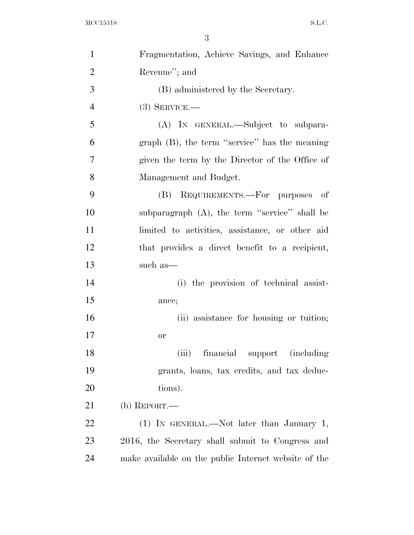| $\mathbf{1}$   | Fragmentation, Achieve Savings, and Enhance          |
|----------------|------------------------------------------------------|
| $\overline{2}$ | Revenue"; and                                        |
| 3              | (B) administered by the Secretary.                   |
| $\overline{4}$ | $(3)$ SERVICE.—                                      |
| 5              | (A) IN GENERAL.—Subject to subpara-                  |
| 6              | graph $(B)$ , the term "service" has the meaning     |
| $\tau$         | given the term by the Director of the Office of      |
| 8              | Management and Budget.                               |
| 9              | REQUIREMENTS.—For purposes of<br>(B)                 |
| 10             | subparagraph (A), the term "service" shall be        |
| 11             | limited to activities, assistance, or other aid      |
| 12             | that provides a direct benefit to a recipient,       |
| 13             | such as—                                             |
| 14             | (i) the provision of technical assist-               |
| 15             | ance;                                                |
| 16             | (ii) assistance for housing or tuition;              |
| 17             | <b>or</b>                                            |
| 18             | <i>(including)</i><br>(iii)<br>financial support     |
| 19             | grants, loans, tax credits, and tax deduc-           |
| 20             | tions).                                              |
| 21             | (b) REPORT.—                                         |
| 22             | (1) IN GENERAL.—Not later than January 1,            |
| 23             | 2016, the Secretary shall submit to Congress and     |
| 24             | make available on the public Internet website of the |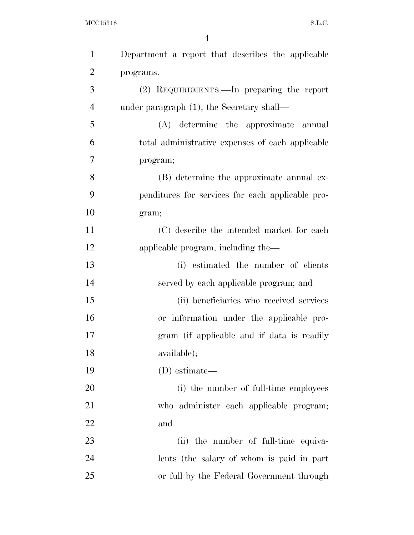| $\mathbf{1}$   | Department a report that describes the applicable |  |
|----------------|---------------------------------------------------|--|
| $\overline{2}$ | programs.                                         |  |
| 3              | (2) REQUIREMENTS.—In preparing the report         |  |
| $\overline{4}$ | under paragraph $(1)$ , the Secretary shall—      |  |
| 5              | (A) determine the approximate annual              |  |
| 6              | total administrative expenses of each applicable  |  |
| 7              | program;                                          |  |
| 8              | (B) determine the approximate annual ex-          |  |
| 9              | penditures for services for each applicable pro-  |  |
| 10             | gram;                                             |  |
| 11             | (C) describe the intended market for each         |  |
| 12             | applicable program, including the—                |  |
| 13             | (i) estimated the number of clients               |  |
| 14             | served by each applicable program; and            |  |
| 15             | (ii) beneficiaries who received services          |  |
| 16             | or information under the applicable pro-          |  |
| 17             | gram (if applicable and if data is readily        |  |
| 18             | available);                                       |  |
| 19             | (D) estimate—                                     |  |
| 20             | (i) the number of full-time employees             |  |
| 21             | who administer each applicable program;           |  |
| 22             | and                                               |  |
| 23             | (ii) the number of full-time equiva-              |  |
| 24             | lents (the salary of whom is paid in part         |  |
| 25             | or full by the Federal Government through         |  |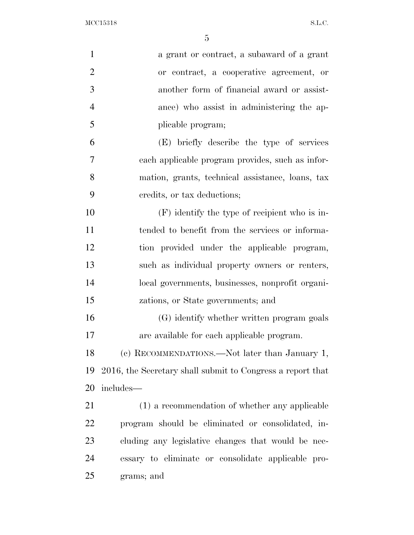MCC15318 S.L.C.

| $\mathbf{1}$   | a grant or contract, a subaward of a grant                 |
|----------------|------------------------------------------------------------|
| $\overline{2}$ | or contract, a cooperative agreement, or                   |
| 3              | another form of financial award or assist-                 |
| $\overline{4}$ | ance) who assist in administering the ap-                  |
| 5              | plicable program;                                          |
| 6              | (E) briefly describe the type of services                  |
| 7              | each applicable program provides, such as infor-           |
| 8              | mation, grants, technical assistance, loans, tax           |
| 9              | credits, or tax deductions;                                |
| 10             | $(F)$ identify the type of recipient who is in-            |
| 11             | tended to benefit from the services or informa-            |
| 12             | tion provided under the applicable program,                |
| 13             | such as individual property owners or renters,             |
| 14             | local governments, businesses, nonprofit organi-           |
| 15             | zations, or State governments; and                         |
| 16             | (G) identify whether written program goals                 |
| 17             | are available for each applicable program.                 |
| 18             | (c) RECOMMENDATIONS.—Not later than January 1,             |
| 19             | 2016, the Secretary shall submit to Congress a report that |
| 20             | includes-                                                  |
| 21             | (1) a recommendation of whether any applicable             |
| 22             | program should be eliminated or consolidated, in-          |
| 23             | cluding any legislative changes that would be nec-         |
| 24             | essary to eliminate or consolidate applicable pro-         |
| 25             | grams; and                                                 |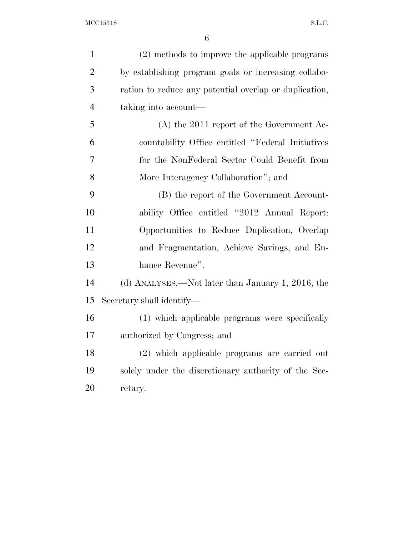| $\mathbf{1}$   | (2) methods to improve the applicable programs         |
|----------------|--------------------------------------------------------|
| $\overline{2}$ | by establishing program goals or increasing collabo-   |
| 3              | ration to reduce any potential overlap or duplication, |
| $\overline{4}$ | taking into account—                                   |
| 5              | $(A)$ the 2011 report of the Government Ac-            |
| 6              | countability Office entitled "Federal Initiatives"     |
| 7              | for the NonFederal Sector Could Benefit from           |
| 8              | More Interagency Collaboration"; and                   |
| 9              | (B) the report of the Government Account-              |
| 10             | ability Office entitled "2012 Annual Report:           |
| 11             | Opportunities to Reduce Duplication, Overlap           |
| 12             | and Fragmentation, Achieve Savings, and En-            |
| 13             | hance Revenue".                                        |
| 14             | (d) ANALYSES.—Not later than January 1, 2016, the      |
| 15             | Secretary shall identify—                              |
| 16             | (1) which applicable programs were specifically        |
| 17             | authorized by Congress; and                            |
| 18             | (2) which applicable programs are carried out          |
| 19             | solely under the discretionary authority of the Sec-   |
| 20             | retary.                                                |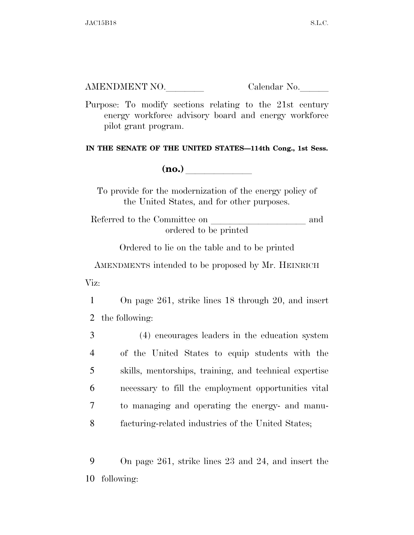Purpose: To modify sections relating to the 21st century energy workforce advisory board and energy workforce pilot grant program.

**IN THE SENATE OF THE UNITED STATES—114th Cong., 1st Sess.** 

**(no.)**  $\qquad \qquad \blacksquare$ 

To provide for the modernization of the energy policy of the United States, and for other purposes.

Referred to the Committee on and ordered to be printed

Ordered to lie on the table and to be printed

AMENDMENTS intended to be proposed by Mr. HEINRICH Viz:

1 On page 261, strike lines 18 through 20, and insert 2 the following:

 (4) encourages leaders in the education system of the United States to equip students with the skills, mentorships, training, and technical expertise necessary to fill the employment opportunities vital to managing and operating the energy- and manu-facturing-related industries of the United States;

9 On page 261, strike lines 23 and 24, and insert the 10 following: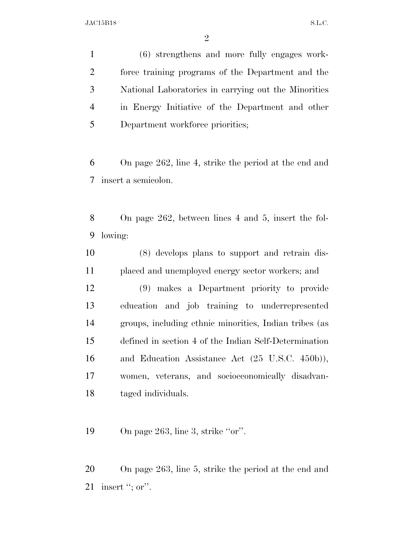(6) strengthens and more fully engages work- force training programs of the Department and the National Laboratories in carrying out the Minorities in Energy Initiative of the Department and other Department workforce priorities;

 On page 262, line 4, strike the period at the end and insert a semicolon.

 On page 262, between lines 4 and 5, insert the fol-lowing:

 (8) develops plans to support and retrain dis-placed and unemployed energy sector workers; and

 (9) makes a Department priority to provide education and job training to underrepresented groups, including ethnic minorities, Indian tribes (as defined in section 4 of the Indian Self-Determination and Education Assistance Act (25 U.S.C. 450b)), women, veterans, and socioeconomically disadvan-taged individuals.

19 On page 263, line 3, strike "or".

 On page 263, line 5, strike the period at the end and 21 insert "; or".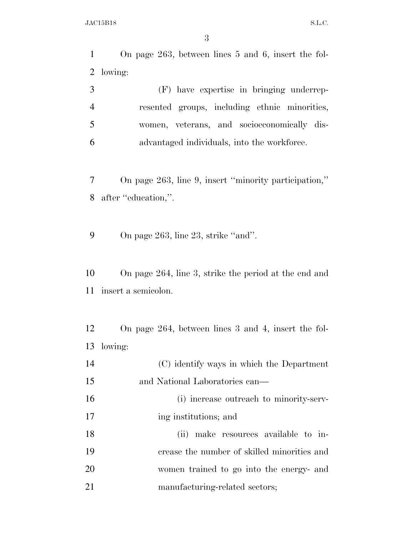On page 263, between lines 5 and 6, insert the fol- lowing: (F) have expertise in bringing underrep-

 resented groups, including ethnic minorities, women, veterans, and socioeconomically dis-advantaged individuals, into the workforce.

 On page 263, line 9, insert ''minority participation,'' 8 after "education,".

9 On page 263, line 23, strike "and".

 On page 264, line 3, strike the period at the end and insert a semicolon.

 On page 264, between lines 3 and 4, insert the fol-lowing:

| 14 | (C) identify ways in which the Department   |
|----|---------------------------------------------|
| 15 | and National Laboratories can—              |
| 16 | (i) increase outreach to minority-serv-     |
| 17 | ing institutions; and                       |
| 18 | make resources available to in-<br>(ii)     |
| 19 | crease the number of skilled minorities and |
| 20 | women trained to go into the energy- and    |
| 21 | manufacturing-related sectors;              |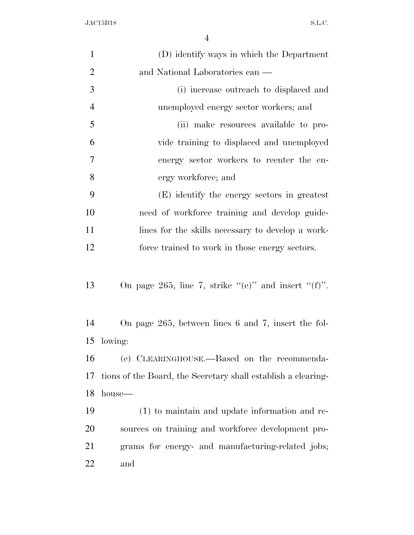| $\mathbf{1}$   | (D) identify ways in which the Department                     |  |
|----------------|---------------------------------------------------------------|--|
| $\overline{2}$ | and National Laboratories can —                               |  |
| 3              | (i) increase outreach to displaced and                        |  |
| $\overline{4}$ | unemployed energy sector workers; and                         |  |
| 5              | (ii) make resources available to pro-                         |  |
| 6              | vide training to displaced and unemployed                     |  |
| $\overline{7}$ | energy sector workers to reenter the en-                      |  |
| 8              | ergy workforce; and                                           |  |
| 9              | (E) identify the energy sectors in greatest                   |  |
| 10             | need of workforce training and develop guide-                 |  |
| 11             | lines for the skills necessary to develop a work-             |  |
| 12             | force trained to work in those energy sectors.                |  |
|                |                                                               |  |
| 13             | On page 265, line 7, strike "(e)" and insert "(f)".           |  |
|                |                                                               |  |
| 14             | On page $265$ , between lines 6 and 7, insert the fol-        |  |
| 15             | lowing:                                                       |  |
| 16             | (e) CLEARINGHOUSE.—Based on the recommenda-                   |  |
| 17             | tions of the Board, the Secretary shall establish a clearing- |  |
| 18             | house—                                                        |  |
| 19             | (1) to maintain and update information and re-                |  |
| 20             | sources on training and workforce development pro-            |  |
| 21             | grams for energy- and manufacturing-related jobs;             |  |
| 22             | and                                                           |  |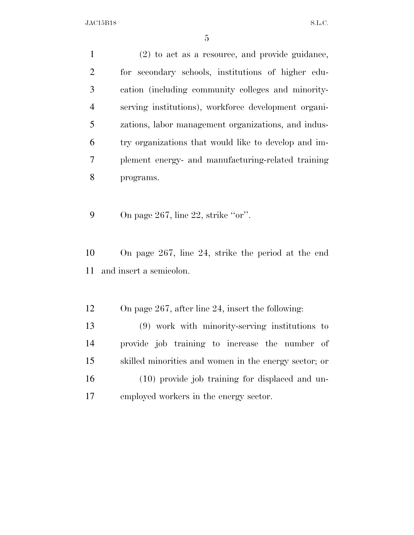(2) to act as a resource, and provide guidance, for secondary schools, institutions of higher edu- cation (including community colleges and minority- serving institutions), workforce development organi- zations, labor management organizations, and indus- try organizations that would like to develop and im- plement energy- and manufacturing-related training programs.

9 On page 267, line 22, strike "or".

 On page 267, line 24, strike the period at the end and insert a semicolon.

- On page 267, after line 24, insert the following:
- (9) work with minority-serving institutions to provide job training to increase the number of skilled minorities and women in the energy sector; or (10) provide job training for displaced and un-employed workers in the energy sector.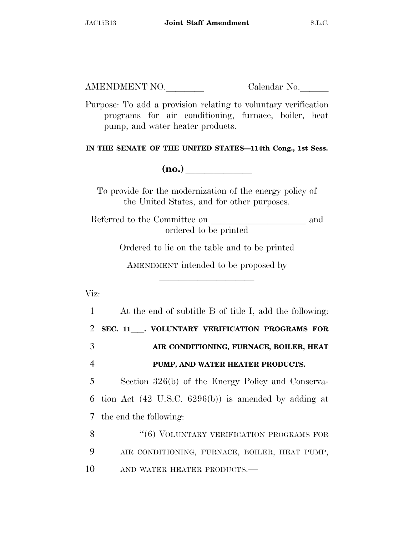Purpose: To add a provision relating to voluntary verification programs for air conditioning, furnace, boiler, heat pump, and water heater products.

**IN THE SENATE OF THE UNITED STATES—114th Cong., 1st Sess.** 

**(no.)**  $\qquad \qquad \blacksquare$ 

To provide for the modernization of the energy policy of the United States, and for other purposes.

Referred to the Committee on and ordered to be printed

Ordered to lie on the table and to be printed

AMENDMENT intended to be proposed by

lla se a lla se a lla se a lla se a lla se a lla se a lla se a lla se a lla se a lla se a lla se a lla se a ll

Viz:

 At the end of subtitle B of title I, add the following: **SEC. 11**ll**. VOLUNTARY VERIFICATION PROGRAMS FOR AIR CONDITIONING, FURNACE, BOILER, HEAT PUMP, AND WATER HEATER PRODUCTS.**  Section 326(b) of the Energy Policy and Conserva- tion Act (42 U.S.C. 6296(b)) is amended by adding at the end the following: 8 "(6) VOLUNTARY VERIFICATION PROGRAMS FOR AIR CONDITIONING, FURNACE, BOILER, HEAT PUMP, 10 AND WATER HEATER PRODUCTS.—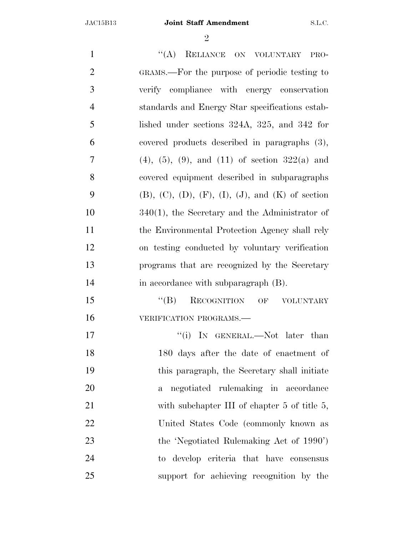$\mathfrak{D}$ 

1 "(A) RELIANCE ON VOLUNTARY PRO- GRAMS.—For the purpose of periodic testing to verify compliance with energy conservation standards and Energy Star specifications estab- lished under sections 324A, 325, and 342 for covered products described in paragraphs (3), 7 (4), (5), (9), and (11) of section  $322(a)$  and covered equipment described in subparagraphs 9 (B),  $(C)$ ,  $(D)$ ,  $(F)$ ,  $(I)$ ,  $(J)$ , and  $(K)$  of section 340(1), the Secretary and the Administrator of the Environmental Protection Agency shall rely on testing conducted by voluntary verification programs that are recognized by the Secretary 14 in accordance with subparagraph (B). 15 "(B) RECOGNITION OF VOLUNTARY **VERIFICATION PROGRAMS.** 17 ''(i) IN GENERAL.—Not later than 180 days after the date of enactment of this paragraph, the Secretary shall initiate a negotiated rulemaking in accordance 21 with subchapter III of chapter 5 of title 5, United States Code (commonly known as the 'Negotiated Rulemaking Act of 1990') to develop criteria that have consensus support for achieving recognition by the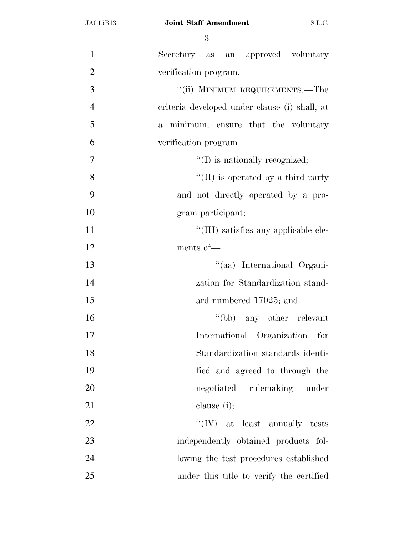| $\mathbf{1}$   | Secretary as an approved voluntary            |
|----------------|-----------------------------------------------|
| $\overline{2}$ | verification program.                         |
| 3              | "(ii) MINIMUM REQUIREMENTS.—The               |
| $\overline{4}$ | criteria developed under clause (i) shall, at |
| 5              | a minimum, ensure that the voluntary          |
| 6              | verification program—                         |
| $\overline{7}$ | $\lq\lq$ is nationally recognized;            |
| 8              | $\lq\lq$ (II) is operated by a third party    |
| 9              | and not directly operated by a pro-           |
| 10             | gram participant;                             |
| 11             | "(III) satisfies any applicable ele-          |
| 12             | ments of-                                     |
| 13             | "(aa) International Organi-                   |
| 14             | zation for Standardization stand-             |
| 15             | ard numbered 17025; and                       |
| 16             | "(bb) any other relevant                      |
| 17             | International Organization for                |
| 18             | Standardization standards identi-             |
| 19             | fied and agreed to through the                |
| 20             | negotiated rulemaking under                   |
| 21             | clause $(i)$ ;                                |
| 22             | $``(IV)$ at least annually tests              |
| 23             | independently obtained products fol-          |
| 24             | lowing the test procedures established        |
| 25             | under this title to verify the certified      |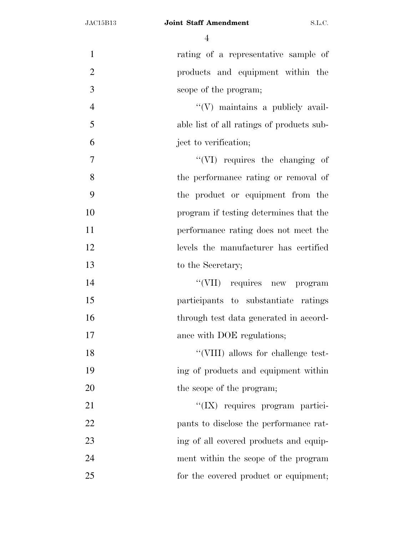#### JAC15B13 **Joint Staff Amendment** S.L.C.

| $\mathbf{1}$   | rating of a representative sample of      |
|----------------|-------------------------------------------|
| $\overline{2}$ | products and equipment within the         |
| 3              | scope of the program;                     |
| $\overline{4}$ | $\lq\lq$ maintains a publicly avail-      |
| 5              | able list of all ratings of products sub- |
| 6              | ject to verification;                     |
| $\overline{7}$ | "(VI) requires the changing of            |
| 8              | the performance rating or removal of      |
| 9              | the product or equipment from the         |
| 10             | program if testing determines that the    |
| 11             | performance rating does not meet the      |
| 12             | levels the manufacturer has certified     |
| 13             | to the Secretary;                         |
| 14             | "(VII) requires new program               |
| 15             | participants to substantiate ratings      |
| 16             | through test data generated in accord-    |
| 17             | ance with DOE regulations;                |
| 18             | "(VIII) allows for challenge test-        |
| 19             | ing of products and equipment within      |
| 20             | the scope of the program;                 |
| 21             | "(IX) requires program partici-           |
| 22             | pants to disclose the performance rat-    |
| 23             | ing of all covered products and equip-    |
| 24             | ment within the scope of the program      |
| 25             | for the covered product or equipment;     |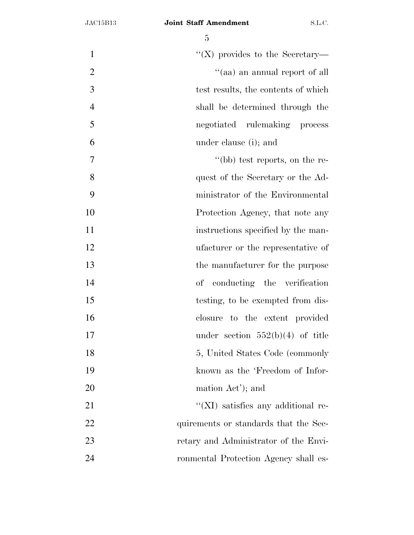| $\mathbf{1}$   | "(X) provides to the Secretary—            |
|----------------|--------------------------------------------|
| $\overline{2}$ | "(aa) an annual report of all              |
| 3              | test results, the contents of which        |
| $\overline{4}$ | shall be determined through the            |
| 5              | negotiated rulemaking process              |
| 6              | under clause (i); and                      |
| $\tau$         | "(bb) test reports, on the re-             |
| 8              | quest of the Secretary or the Ad-          |
| 9              | ministrator of the Environmental           |
| 10             | Protection Agency, that note any           |
| 11             | instructions specified by the man-         |
| 12             | ufacturer or the representative of         |
| 13             | the manufacturer for the purpose           |
| 14             | of conducting the verification             |
| 15             | testing, to be exempted from dis-          |
| 16             | closure to the extent provided             |
| 17             | under section $552(b)(4)$ of title         |
| 18             | 5, United States Code (commonly            |
| 19             | known as the 'Freedom of Infor-            |
| 20             | mation Act'); and                          |
| 21             | $\lq\lq$ (XI) satisfies any additional re- |
| 22             | quirements or standards that the Sec-      |
| 23             | retary and Administrator of the Envi-      |
| 24             | ronmental Protection Agency shall es-      |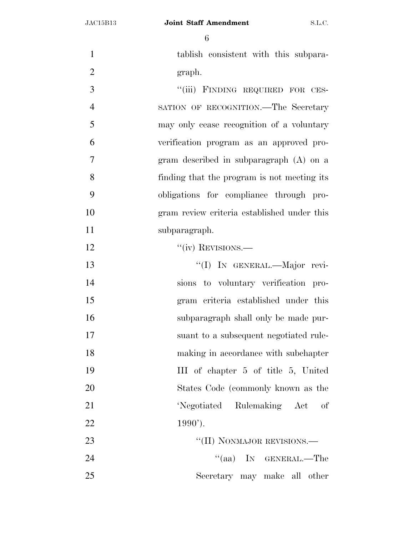tablish consistent with this subpara-2 graph. 3 "(iii) FINDING REQUIRED FOR CES- SATION OF RECOGNITION.—The Secretary may only cease recognition of a voluntary verification program as an approved pro- gram described in subparagraph (A) on a finding that the program is not meeting its obligations for compliance through pro- gram review criteria established under this subparagraph. 12 ''(iv) REVISIONS. ''(I) IN GENERAL.—Major revi- sions to voluntary verification pro- gram criteria established under this subparagraph shall only be made pur- suant to a subsequent negotiated rule- making in accordance with subchapter III of chapter 5 of title 5, United States Code (commonly known as the 'Negotiated Rulemaking Act of 22 1990'). 23 "'(II) NONMAJOR REVISIONS.— 24 ''(aa) IN GENERAL.—The Secretary may make all other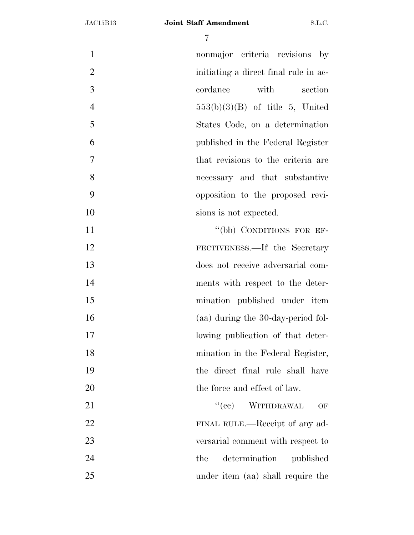| $\mathbf{1}$   | nonmajor criteria revisions by        |
|----------------|---------------------------------------|
| $\overline{2}$ | initiating a direct final rule in ac- |
| 3              | with<br>cordance<br>section           |
| $\overline{4}$ | $553(b)(3)(B)$ of title 5, United     |
| 5              | States Code, on a determination       |
| 6              | published in the Federal Register     |
| $\overline{7}$ | that revisions to the criteria are    |
| 8              | necessary and that substantive        |
| 9              | opposition to the proposed revi-      |
| 10             | sions is not expected.                |
| 11             | "(bb) CONDITIONS FOR EF-              |
| 12             | FECTIVENESS.—If the Secretary         |
| 13             | does not receive adversarial com-     |
| 14             | ments with respect to the deter-      |
| 15             | mination published under item         |
| 16             | (aa) during the 30-day-period fol-    |
| 17             | lowing publication of that deter-     |
| 18             | mination in the Federal Register,     |
| 19             | the direct final rule shall have      |
| 20             | the force and effect of law.          |
| 21             | ``(ee)<br>WITHDRAWAL<br>OF            |
| 22             | FINAL RULE.—Receipt of any ad-        |
| 23             | versarial comment with respect to     |
| 24             | determination<br>the<br>published     |
| 25             | under item (aa) shall require the     |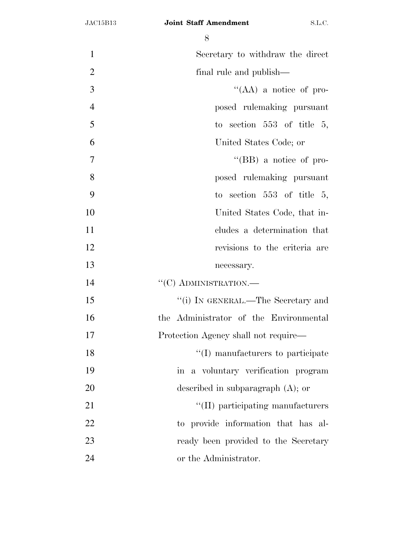| $\mathbf{1}$   | Secretary to withdraw the direct       |
|----------------|----------------------------------------|
| $\overline{2}$ | final rule and publish—                |
| 3              | "(AA) a notice of pro-                 |
| $\overline{4}$ | posed rulemaking pursuant              |
| 5              | to section $553$ of title 5,           |
| 6              | United States Code; or                 |
| $\overline{7}$ | "(BB) a notice of pro-                 |
| 8              | posed rulemaking pursuant              |
| 9              | to section $553$ of title $5$ ,        |
| 10             | United States Code, that in-           |
| 11             | cludes a determination that            |
| 12             | revisions to the criteria are          |
| 13             | necessary.                             |
| 14             | $``(C)$ ADMINISTRATION.—               |
| 15             | "(i) IN GENERAL.—The Secretary and     |
| 16             | the Administrator of the Environmental |
| 17             | Protection Agency shall not require—   |
| 18             | "(I) manufacturers to participate      |
| 19             | in a voluntary verification program    |
| 20             | described in subparagraph $(A)$ ; or   |
| 21             | "(II) participating manufacturers      |
| 22             | to provide information that has al-    |
| 23             | ready been provided to the Secretary   |
| 24             | or the Administrator.                  |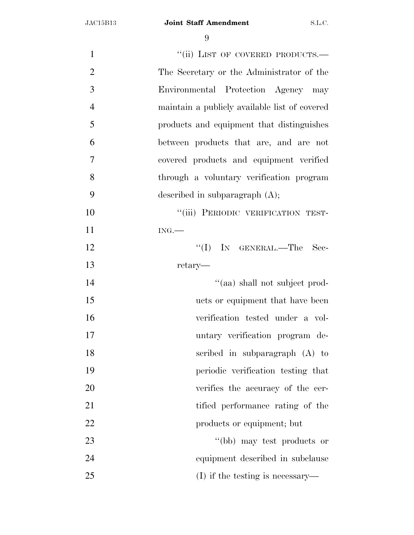| $\mathbf{1}$   | "(ii) LIST OF COVERED PRODUCTS.-              |
|----------------|-----------------------------------------------|
| $\overline{2}$ | The Secretary or the Administrator of the     |
| 3              | Environmental Protection Agency may           |
| $\overline{4}$ | maintain a publicly available list of covered |
| 5              | products and equipment that distinguishes     |
| 6              | between products that are, and are not        |
| $\overline{7}$ | covered products and equipment verified       |
| 8              | through a voluntary verification program      |
| 9              | described in subparagraph $(A)$ ;             |
| 10             | "(iii) PERIODIC VERIFICATION TEST-            |
| 11             | ING.                                          |
| 12             | ``(I)<br>IN GENERAL.—The<br>Sec-              |
| 13             | retary—                                       |
| 14             | "(aa) shall not subject prod-                 |
| 15             | ucts or equipment that have been              |
| 16             | verification tested under a vol-              |
| 17             | untary verification program de-               |
| 18             | scribed in subparagraph (A) to                |
| 19             | periodic verification testing that            |
| 20             | verifies the accuracy of the cer-             |
| 21             | tified performance rating of the              |
| 22             | products or equipment; but                    |
| 23             | "(bb) may test products or                    |
| 24             | equipment described in subclause              |
| 25             | $(I)$ if the testing is necessary—            |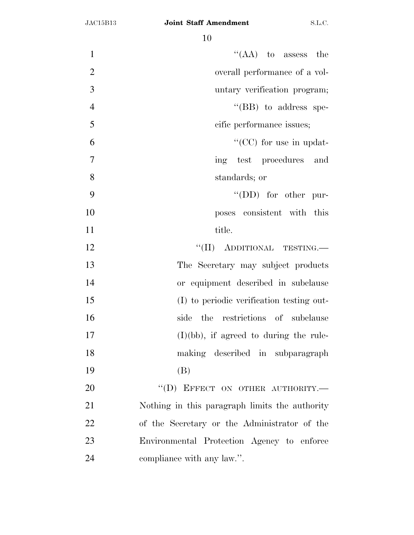| $\mathbf{1}$   | $\lq\lq$ (AA) to assess the                    |
|----------------|------------------------------------------------|
| $\overline{2}$ | overall performance of a vol-                  |
| 3              | untary verification program;                   |
| $\overline{4}$ | "(BB) to address spe-                          |
| 5              | cific performance issues;                      |
| 6              | "( $CC$ ) for use in updat-                    |
| $\tau$         | ing test procedures and                        |
| 8              | standards; or                                  |
| 9              | $\lq\lq$ (DD) for other pur-                   |
| 10             | poses consistent with this                     |
| 11             | title.                                         |
| 12             | "(II) ADDITIONAL TESTING.                      |
| 13             | The Secretary may subject products             |
| 14             | or equipment described in subclause            |
| 15             | (I) to periodic verification testing out-      |
| 16             | the restrictions of subclause<br>side          |
| 17             | $(I)(bb)$ , if agreed to during the rule-      |
| 18             | making described in subparagraph               |
| 19             | (B)                                            |
| 20             | "(D) EFFECT ON OTHER AUTHORITY.-               |
| 21             | Nothing in this paragraph limits the authority |
| 22             | of the Secretary or the Administrator of the   |
| 23             | Environmental Protection Agency to enforce     |
| 24             | compliance with any law.".                     |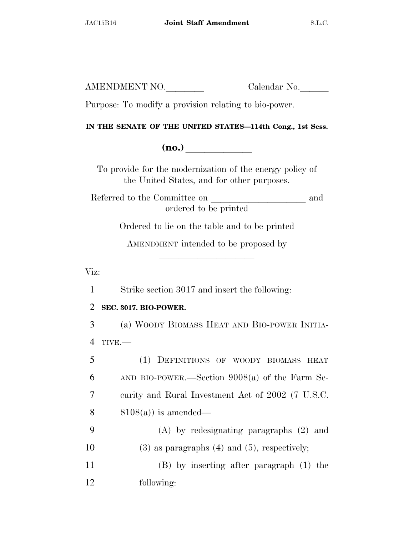Purpose: To modify a provision relating to bio-power.

### **IN THE SENATE OF THE UNITED STATES—114th Cong., 1st Sess.**

**(no.)**  $\blacksquare$ 

To provide for the modernization of the energy policy of the United States, and for other purposes.

Referred to the Committee on and ordered to be printed

Ordered to lie on the table and to be printed

AMENDMENT intended to be proposed by

lla se a lla se a lla se a lla se a lla se a lla se a lla se a lla se a lla se a lla se a lla se a lla se a ll

Viz:

1 Strike section 3017 and insert the following:

### 2 **SEC. 3017. BIO-POWER.**

3 (a) WOODY BIOMASS HEAT AND BIO-POWER INITIA-4 TIVE.—

 (1) DEFINITIONS OF WOODY BIOMASS HEAT AND BIO-POWER.—Section 9008(a) of the Farm Se- curity and Rural Investment Act of 2002 (7 U.S.C.  $8108(a)$  is amended— (A) by redesignating paragraphs (2) and (3) as paragraphs (4) and (5), respectively; (B) by inserting after paragraph (1) the

12 following: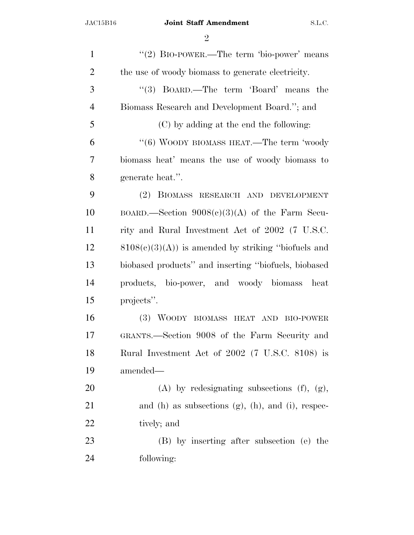| $\mathbf{1}$   | " $(2)$ BIO-POWER.—The term 'bio-power' means                |
|----------------|--------------------------------------------------------------|
| $\overline{2}$ | the use of woody biomass to generate electricity.            |
| 3              | "(3) BOARD.—The term 'Board' means the                       |
| $\overline{4}$ | Biomass Research and Development Board."; and                |
| 5              | (C) by adding at the end the following:                      |
| 6              | "(6) WOODY BIOMASS HEAT.—The term 'woody                     |
| 7              | biomass heat' means the use of woody biomass to              |
| 8              | generate heat.".                                             |
| 9              | (2) BIOMASS RESEARCH AND DEVELOPMENT                         |
| 10             | BOARD.—Section $9008(c)(3)(A)$ of the Farm Secu-             |
| 11             | rity and Rural Investment Act of 2002 (7 U.S.C.              |
| 12             | $8108(c)(3)(A)$ is amended by striking "biofuels and         |
| 13             | biobased products" and inserting "biofuels, biobased         |
| 14             | products, bio-power, and woody biomass<br>heat               |
| 15             | projects".                                                   |
| 16             | (3) WOODY BIOMASS HEAT AND BIO-POWER                         |
| 17             | GRANTS.—Section 9008 of the Farm Security and                |
| 18             | Rural Investment Act of 2002 (7 U.S.C. 8108) is              |
| 19             | amended—                                                     |
| 20             | $(A)$ by redesignating subsections $(f)$ , $(g)$ ,           |
| 21             | and $(h)$ as subsections $(g)$ , $(h)$ , and $(i)$ , respec- |
| 22             | tively; and                                                  |
| 23             | (B) by inserting after subsection (e) the                    |
| 24             | following:                                                   |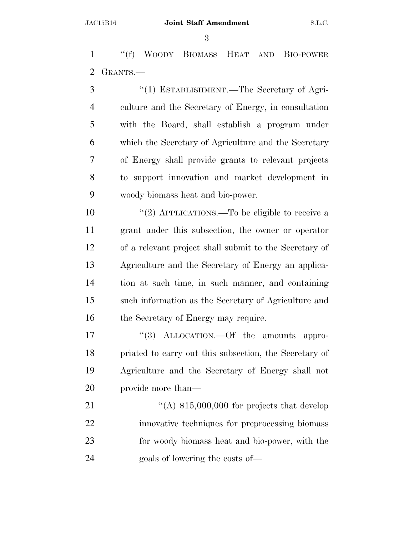''(f) WOODY BIOMASS HEAT AND BIO-POWER GRANTS.—

 ''(1) ESTABLISHMENT.—The Secretary of Agri- culture and the Secretary of Energy, in consultation with the Board, shall establish a program under which the Secretary of Agriculture and the Secretary of Energy shall provide grants to relevant projects to support innovation and market development in woody biomass heat and bio-power.

 $\frac{1}{2}$  APPLICATIONS.—To be eligible to receive a grant under this subsection, the owner or operator of a relevant project shall submit to the Secretary of Agriculture and the Secretary of Energy an applica- tion at such time, in such manner, and containing such information as the Secretary of Agriculture and 16 the Secretary of Energy may require.

17 "(3) ALLOCATION.—Of the amounts appro- priated to carry out this subsection, the Secretary of Agriculture and the Secretary of Energy shall not provide more than—

 $\frac{4}{(A)}$  \$15,000,000 for projects that develop innovative techniques for preprocessing biomass for woody biomass heat and bio-power, with the goals of lowering the costs of—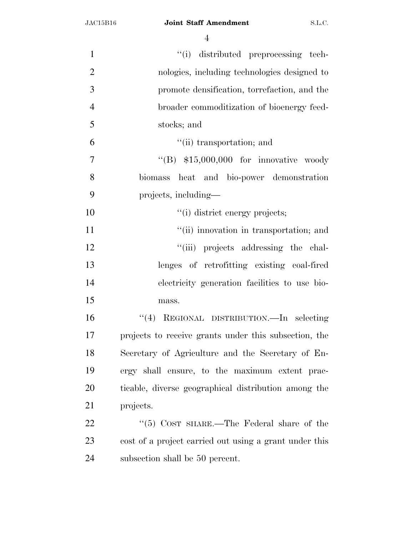| $\mathbf{1}$   | "(i) distributed preprocessing tech-                   |
|----------------|--------------------------------------------------------|
| $\overline{2}$ | nologies, including technologies designed to           |
| 3              | promote densification, torrefaction, and the           |
| $\overline{4}$ | broader commoditization of bioenergy feed-             |
| 5              | stocks; and                                            |
| 6              | "(ii) transportation; and                              |
| 7              | "(B) $$15,000,000$ for innovative woody                |
| 8              | biomass heat and bio-power demonstration               |
| 9              | projects, including—                                   |
| 10             | "(i) district energy projects;                         |
| 11             | "(ii) innovation in transportation; and                |
| 12             | "(iii) projects addressing the chal-                   |
| 13             | lenges of retrofitting existing coal-fired             |
| 14             | electricity generation facilities to use bio-          |
| 15             | mass.                                                  |
| 16             | REGIONAL DISTRIBUTION.-In selecting<br>(4)             |
| 17             | projects to receive grants under this subsection, the  |
| 18             | Secretary of Agriculture and the Secretary of En-      |
| 19             | ergy shall ensure, to the maximum extent prac-         |
| 20             | ticable, diverse geographical distribution among the   |
| 21             | projects.                                              |
| 22             | " $(5)$ COST SHARE.—The Federal share of the           |
| 23             | cost of a project carried out using a grant under this |
| 24             | subsection shall be 50 percent.                        |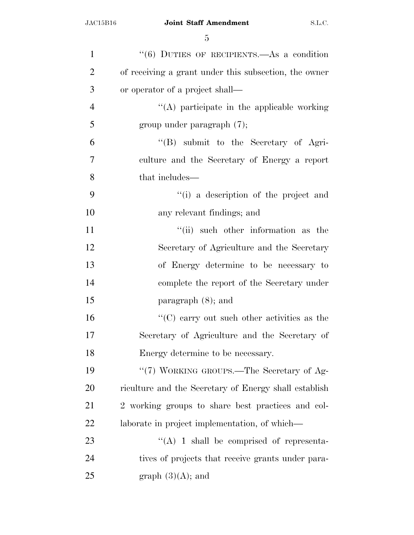| $\mathbf{1}$   | $(6)$ DUTIES OF RECIPIENTS.—As a condition            |
|----------------|-------------------------------------------------------|
| $\overline{2}$ | of receiving a grant under this subsection, the owner |
| 3              | or operator of a project shall—                       |
| $\overline{4}$ | "(A) participate in the applicable working            |
| 5              | group under paragraph $(7)$ ;                         |
| 6              | "(B) submit to the Secretary of Agri-                 |
| 7              | culture and the Secretary of Energy a report          |
| 8              | that includes—                                        |
| 9              | "(i) a description of the project and                 |
| 10             | any relevant findings; and                            |
| 11             | "(ii) such other information as the                   |
| 12             | Secretary of Agriculture and the Secretary            |
| 13             | of Energy determine to be necessary to                |
| 14             | complete the report of the Secretary under            |
| 15             | paragraph $(8)$ ; and                                 |
| 16             | $\lq\lq$ (C) carry out such other activities as the   |
| 17             | Secretary of Agriculture and the Secretary of         |
| 18             | Energy determine to be necessary.                     |
| 19             | "(7) WORKING GROUPS.—The Secretary of Ag-             |
| 20             | riculture and the Secretary of Energy shall establish |
| 21             | 2 working groups to share best practices and col-     |
| 22             | laborate in project implementation, of which—         |
| 23             | $\lq\lq$ (A) 1 shall be comprised of representa-      |
| 24             | tives of projects that receive grants under para-     |
| 25             | graph $(3)(A)$ ; and                                  |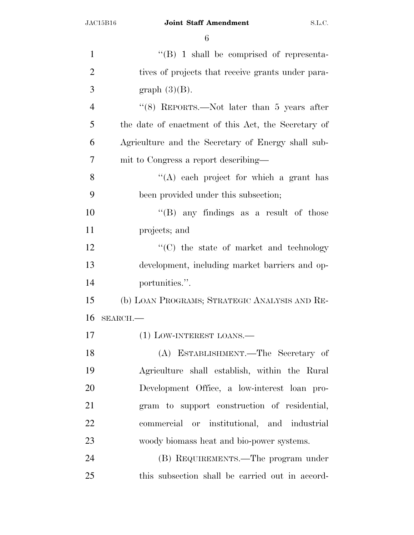| $\cdot$ (B) 1 shall be comprised of representa-     |
|-----------------------------------------------------|
| tives of projects that receive grants under para-   |
| graph $(3)(B)$ .                                    |
| " $(8)$ REPORTS.—Not later than 5 years after       |
| the date of enactment of this Act, the Secretary of |
| Agriculture and the Secretary of Energy shall sub-  |
| mit to Congress a report describing—                |
| $\lq\lq$ each project for which a grant has         |
| been provided under this subsection;                |
| "(B) any findings as a result of those              |
| projects; and                                       |
| "(C) the state of market and technology             |
| development, including market barriers and op-      |
| portunities.".                                      |
| (b) LOAN PROGRAMS; STRATEGIC ANALYSIS AND RE-       |
| $SEARCH$ .                                          |
| (1) LOW-INTEREST LOANS.—                            |
| (A) ESTABLISHMENT.—The Secretary of                 |
| Agriculture shall establish, within the Rural       |
| Development Office, a low-interest loan pro-        |
| gram to support construction of residential,        |
| commercial or institutional, and industrial         |
| woody biomass heat and bio-power systems.           |
| (B) REQUIREMENTS.—The program under                 |
| this subsection shall be carried out in accord-     |
|                                                     |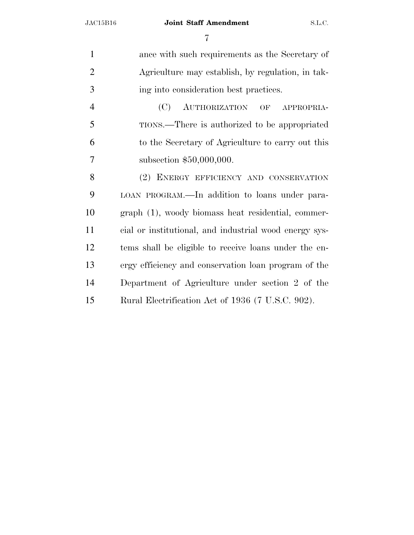#### JAC15B16 **Joint Staff Amendment** S.L.C.

| $\mathbf{1}$   | ance with such requirements as the Secretary of        |
|----------------|--------------------------------------------------------|
| $\overline{2}$ | Agriculture may establish, by regulation, in tak-      |
| 3              | ing into consideration best practices.                 |
| $\overline{4}$ | AUTHORIZATION OF<br>(C)<br>APPROPRIA-                  |
| 5              | TIONS.—There is authorized to be appropriated          |
| 6              | to the Secretary of Agriculture to carry out this      |
| 7              | subsection \$50,000,000.                               |
| 8              | (2) ENERGY EFFICIENCY AND CONSERVATION                 |
| 9              | LOAN PROGRAM.—In addition to loans under para-         |
| 10             | graph (1), woody biomass heat residential, commer-     |
| 11             | cial or institutional, and industrial wood energy sys- |
| 12             | tems shall be eligible to receive loans under the en-  |
| 13             | ergy efficiency and conservation loan program of the   |
| 14             | Department of Agriculture under section 2 of the       |
| 15             | Rural Electrification Act of 1936 (7 U.S.C. 902).      |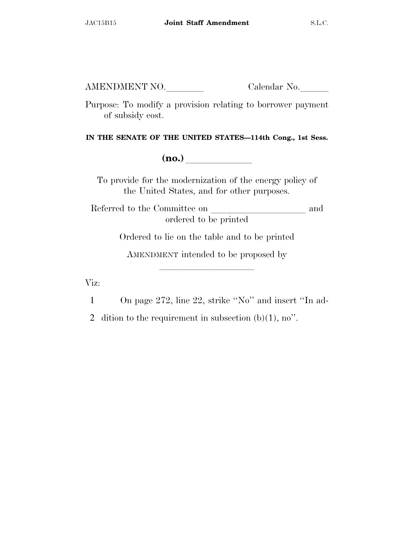Purpose: To modify a provision relating to borrower payment of subsidy cost.

**IN THE SENATE OF THE UNITED STATES—114th Cong., 1st Sess.** 

**(no.)** 

To provide for the modernization of the energy policy of the United States, and for other purposes.

Referred to the Committee on and ordered to be printed

Ordered to lie on the table and to be printed

AMENDMENT intended to be proposed by

lla se al constituit de la constituit de la constituit de la constituit de la constituit de la constituit de l<br>La constituit de la constituit de la constituit de la constituit de la constituit de la constituit de la const

Viz:

1 On page 272, line 22, strike ''No'' and insert ''In ad-

2 dition to the requirement in subsection  $(b)(1)$ , no".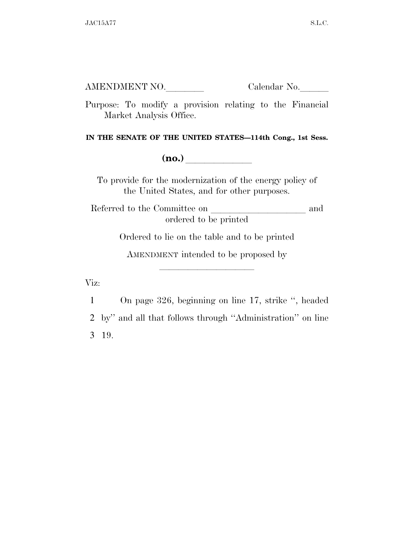Purpose: To modify a provision relating to the Financial Market Analysis Office.

**IN THE SENATE OF THE UNITED STATES—114th Cong., 1st Sess.** 

**(no.)** 

To provide for the modernization of the energy policy of the United States, and for other purposes.

Referred to the Committee on and ordered to be printed

Ordered to lie on the table and to be printed

AMENDMENT intended to be proposed by

lla se al constituit de la constituit de la constituit de la constituit de la constituit de la constituit de l<br>La constituit de la constituit de la constituit de la constituit de la constituit de la constituit de la const

Viz:

1 On page 326, beginning on line 17, strike '', headed 2 by'' and all that follows through ''Administration'' on line 3 19.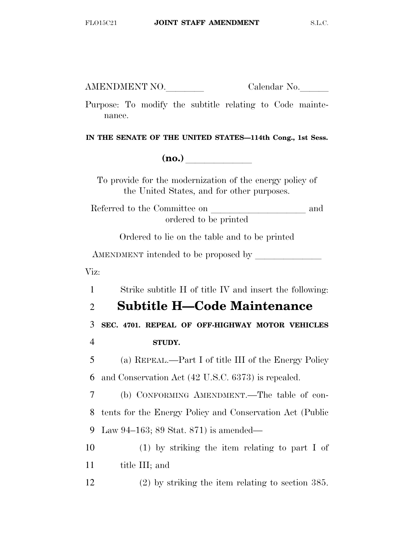Purpose: To modify the subtitle relating to Code maintenance.

**IN THE SENATE OF THE UNITED STATES—114th Cong., 1st Sess.** 

 $(no.)$ 

To provide for the modernization of the energy policy of the United States, and for other purposes.

Referred to the Committee on and ordered to be printed

Ordered to lie on the table and to be printed

AMENDMENT intended to be proposed by

Viz:

1 Strike subtitle H of title IV and insert the following:

### 2 **Subtitle H—Code Maintenance**

3 **SEC. 4701. REPEAL OF OFF-HIGHWAY MOTOR VEHICLES**  4 **STUDY.** 

5 (a) REPEAL.—Part I of title III of the Energy Policy 6 and Conservation Act (42 U.S.C. 6373) is repealed.

7 (b) CONFORMING AMENDMENT.—The table of con-8 tents for the Energy Policy and Conservation Act (Public 9 Law 94–163; 89 Stat. 871) is amended—

10 (1) by striking the item relating to part I of 11 title III; and

12 (2) by striking the item relating to section 385.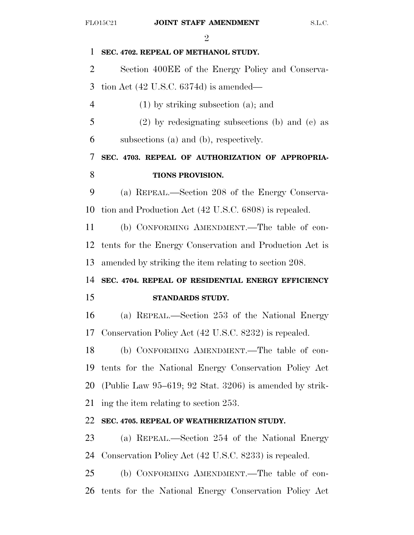# $\mathcal{D}_{\alpha}$ FLO15C21 **JOINT STAFF AMENDMENT** S.L.C. **SEC. 4702. REPEAL OF METHANOL STUDY.**  Section 400EE of the Energy Policy and Conserva- tion Act (42 U.S.C. 6374d) is amended— (1) by striking subsection (a); and (2) by redesignating subsections (b) and (c) as subsections (a) and (b), respectively. **SEC. 4703. REPEAL OF AUTHORIZATION OF APPROPRIA- TIONS PROVISION.**  (a) REPEAL.—Section 208 of the Energy Conserva- tion and Production Act (42 U.S.C. 6808) is repealed. (b) CONFORMING AMENDMENT.—The table of con- tents for the Energy Conservation and Production Act is amended by striking the item relating to section 208. **SEC. 4704. REPEAL OF RESIDENTIAL ENERGY EFFICIENCY STANDARDS STUDY.**  (a) REPEAL.—Section 253 of the National Energy Conservation Policy Act (42 U.S.C. 8232) is repealed. (b) CONFORMING AMENDMENT.—The table of con- tents for the National Energy Conservation Policy Act (Public Law 95–619; 92 Stat. 3206) is amended by strik- ing the item relating to section 253. **SEC. 4705. REPEAL OF WEATHERIZATION STUDY.**  (a) REPEAL.—Section 254 of the National Energy Conservation Policy Act (42 U.S.C. 8233) is repealed. (b) CONFORMING AMENDMENT.—The table of con-

tents for the National Energy Conservation Policy Act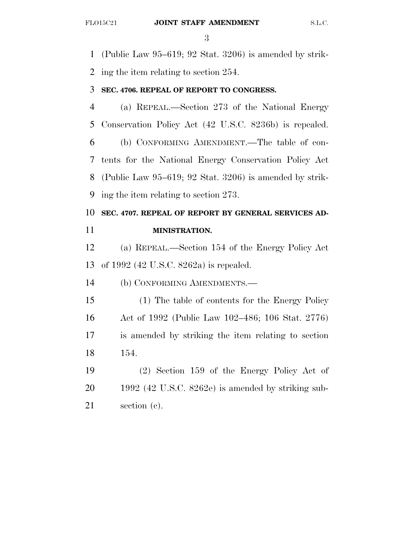(Public Law 95–619; 92 Stat. 3206) is amended by strik-ing the item relating to section 254.

#### **SEC. 4706. REPEAL OF REPORT TO CONGRESS.**

 (a) REPEAL.—Section 273 of the National Energy Conservation Policy Act (42 U.S.C. 8236b) is repealed. (b) CONFORMING AMENDMENT.—The table of con- tents for the National Energy Conservation Policy Act (Public Law 95–619; 92 Stat. 3206) is amended by strik-ing the item relating to section 273.

# **SEC. 4707. REPEAL OF REPORT BY GENERAL SERVICES AD-MINISTRATION.**

 (a) REPEAL.—Section 154 of the Energy Policy Act of 1992 (42 U.S.C. 8262a) is repealed.

(b) CONFORMING AMENDMENTS.—

 (1) The table of contents for the Energy Policy Act of 1992 (Public Law 102–486; 106 Stat. 2776) is amended by striking the item relating to section 154.

 (2) Section 159 of the Energy Policy Act of 1992 (42 U.S.C. 8262e) is amended by striking sub-section (c).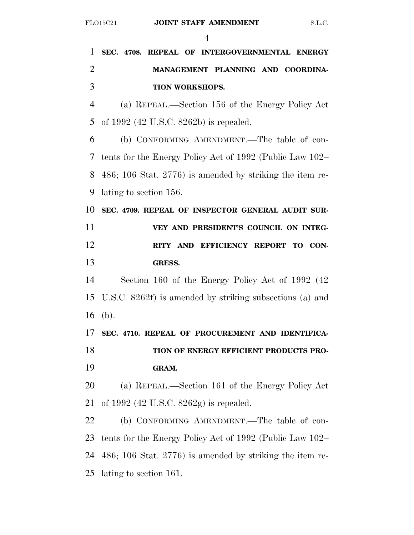**SEC. 4708. REPEAL OF INTERGOVERNMENTAL ENERGY MANAGEMENT PLANNING AND COORDINA- TION WORKSHOPS.**  (a) REPEAL.—Section 156 of the Energy Policy Act of 1992 (42 U.S.C. 8262b) is repealed. (b) CONFORMING AMENDMENT.—The table of con- tents for the Energy Policy Act of 1992 (Public Law 102– 486; 106 Stat. 2776) is amended by striking the item re- lating to section 156. **SEC. 4709. REPEAL OF INSPECTOR GENERAL AUDIT SUR- VEY AND PRESIDENT'S COUNCIL ON INTEG- RITY AND EFFICIENCY REPORT TO CON- GRESS.**  Section 160 of the Energy Policy Act of 1992 (42 U.S.C. 8262f) is amended by striking subsections (a) and (b). **SEC. 4710. REPEAL OF PROCUREMENT AND IDENTIFICA- TION OF ENERGY EFFICIENT PRODUCTS PRO- GRAM.**  (a) REPEAL.—Section 161 of the Energy Policy Act of 1992 (42 U.S.C. 8262g) is repealed. (b) CONFORMING AMENDMENT.—The table of con- tents for the Energy Policy Act of 1992 (Public Law 102– 486; 106 Stat. 2776) is amended by striking the item re-lating to section 161.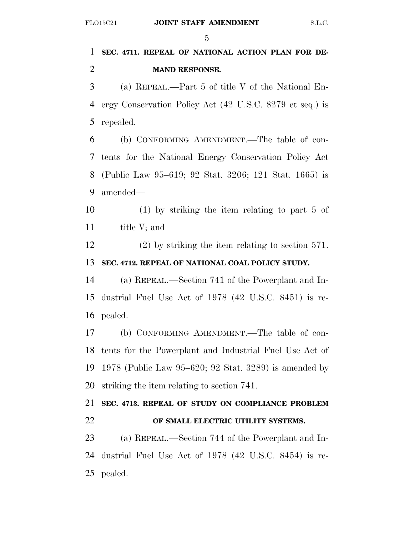### **SEC. 4711. REPEAL OF NATIONAL ACTION PLAN FOR DE-MAND RESPONSE.**

 (a) REPEAL.—Part 5 of title V of the National En- ergy Conservation Policy Act (42 U.S.C. 8279 et seq.) is repealed.

 (b) CONFORMING AMENDMENT.—The table of con- tents for the National Energy Conservation Policy Act (Public Law 95–619; 92 Stat. 3206; 121 Stat. 1665) is amended—

 (1) by striking the item relating to part 5 of 11 title V; and

 (2) by striking the item relating to section 571. **SEC. 4712. REPEAL OF NATIONAL COAL POLICY STUDY.** 

 (a) REPEAL.—Section 741 of the Powerplant and In- dustrial Fuel Use Act of 1978 (42 U.S.C. 8451) is re-pealed.

 (b) CONFORMING AMENDMENT.—The table of con- tents for the Powerplant and Industrial Fuel Use Act of 1978 (Public Law 95–620; 92 Stat. 3289) is amended by striking the item relating to section 741.

## **SEC. 4713. REPEAL OF STUDY ON COMPLIANCE PROBLEM OF SMALL ELECTRIC UTILITY SYSTEMS.**

 (a) REPEAL.—Section 744 of the Powerplant and In- dustrial Fuel Use Act of 1978 (42 U.S.C. 8454) is re-pealed.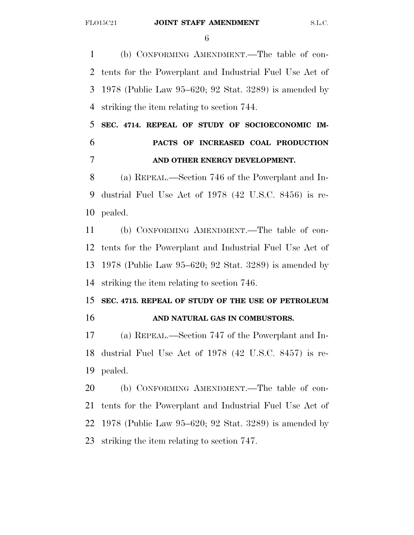(b) CONFORMING AMENDMENT.—The table of con- tents for the Powerplant and Industrial Fuel Use Act of 1978 (Public Law 95–620; 92 Stat. 3289) is amended by striking the item relating to section 744.

 **SEC. 4714. REPEAL OF STUDY OF SOCIOECONOMIC IM- PACTS OF INCREASED COAL PRODUCTION AND OTHER ENERGY DEVELOPMENT.** 

 (a) REPEAL.—Section 746 of the Powerplant and In- dustrial Fuel Use Act of 1978 (42 U.S.C. 8456) is re-pealed.

 (b) CONFORMING AMENDMENT.—The table of con- tents for the Powerplant and Industrial Fuel Use Act of 1978 (Public Law 95–620; 92 Stat. 3289) is amended by striking the item relating to section 746.

### **SEC. 4715. REPEAL OF STUDY OF THE USE OF PETROLEUM AND NATURAL GAS IN COMBUSTORS.**

 (a) REPEAL.—Section 747 of the Powerplant and In- dustrial Fuel Use Act of 1978 (42 U.S.C. 8457) is re-pealed.

 (b) CONFORMING AMENDMENT.—The table of con- tents for the Powerplant and Industrial Fuel Use Act of 1978 (Public Law 95–620; 92 Stat. 3289) is amended by striking the item relating to section 747.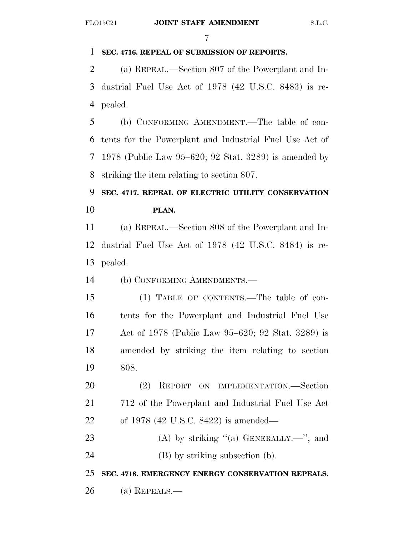#### **SEC. 4716. REPEAL OF SUBMISSION OF REPORTS.**

 (a) REPEAL.—Section 807 of the Powerplant and In- dustrial Fuel Use Act of 1978 (42 U.S.C. 8483) is re-pealed.

 (b) CONFORMING AMENDMENT.—The table of con- tents for the Powerplant and Industrial Fuel Use Act of 1978 (Public Law 95–620; 92 Stat. 3289) is amended by striking the item relating to section 807.

# **SEC. 4717. REPEAL OF ELECTRIC UTILITY CONSERVATION PLAN.**

 (a) REPEAL.—Section 808 of the Powerplant and In- dustrial Fuel Use Act of 1978 (42 U.S.C. 8484) is re-pealed.

(b) CONFORMING AMENDMENTS.—

 (1) TABLE OF CONTENTS.—The table of con- tents for the Powerplant and Industrial Fuel Use Act of 1978 (Public Law 95–620; 92 Stat. 3289) is amended by striking the item relating to section 808.

 (2) REPORT ON IMPLEMENTATION.—Section 712 of the Powerplant and Industrial Fuel Use Act of 1978 (42 U.S.C. 8422) is amended—

23 (A) by striking  $(4)$  GENERALLY.—"; and

(B) by striking subsection (b).

**SEC. 4718. EMERGENCY ENERGY CONSERVATION REPEALS.** 

(a) REPEALS.—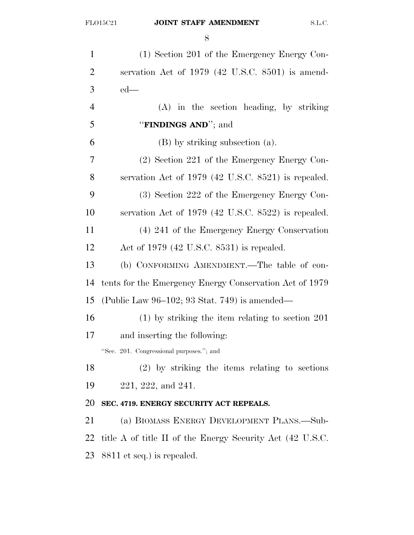| $\mathbf{1}$   | (1) Section 201 of the Emergency Energy Con-              |
|----------------|-----------------------------------------------------------|
| $\overline{2}$ | servation Act of 1979 (42 U.S.C. 8501) is amend-          |
| 3              | $ed$ —                                                    |
| $\overline{4}$ | $(A)$ in the section heading, by striking                 |
| 5              | "FINDINGS AND"; and                                       |
| 6              | (B) by striking subsection (a).                           |
| 7              | $(2)$ Section 221 of the Emergency Energy Con-            |
| 8              | servation Act of $1979$ (42 U.S.C. 8521) is repealed.     |
| 9              | (3) Section 222 of the Emergency Energy Con-              |
| 10             | servation Act of $1979$ (42 U.S.C. 8522) is repealed.     |
| 11             | (4) 241 of the Emergency Energy Conservation              |
| 12             | Act of $1979$ (42 U.S.C. 8531) is repealed.               |
| 13             | (b) CONFORMING AMENDMENT.—The table of con-               |
| 14             | tents for the Emergency Energy Conservation Act of 1979   |
| 15             | (Public Law $96-102$ ; 93 Stat. 749) is amended—          |
| 16             | $(1)$ by striking the item relating to section 201        |
| 17             | and inserting the following:                              |
|                | "Sec. 201. Congressional purposes."; and                  |
| 18             | $(2)$ by striking the items relating to sections          |
| 19             | $221, 222,$ and $241.$                                    |
| 20             | SEC. 4719. ENERGY SECURITY ACT REPEALS.                   |
| 21             | (a) BIOMASS ENERGY DEVELOPMENT PLANS.—Sub-                |
| 22             | title A of title II of the Energy Security Act (42 U.S.C. |
| 23             | 8811 et seq.) is repealed.                                |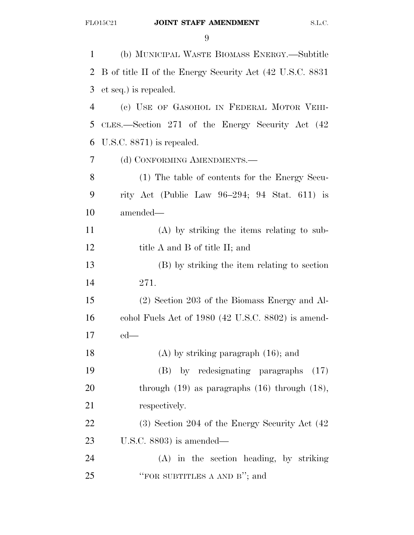(b) MUNICIPAL WASTE BIOMASS ENERGY.—Subtitle B of title II of the Energy Security Act (42 U.S.C. 8831 et seq.) is repealed. (c) USE OF GASOHOL IN FEDERAL MOTOR VEHI- CLES.—Section 271 of the Energy Security Act (42 U.S.C. 8871) is repealed. (d) CONFORMING AMENDMENTS.— (1) The table of contents for the Energy Secu- rity Act (Public Law 96–294; 94 Stat. 611) is amended— (A) by striking the items relating to sub-12 title A and B of title II; and (B) by striking the item relating to section 271. (2) Section 203 of the Biomass Energy and Al- cohol Fuels Act of 1980 (42 U.S.C. 8802) is amend- ed— (A) by striking paragraph (16); and (B) by redesignating paragraphs (17) 20 through (19) as paragraphs (16) through (18), 21 respectively. (3) Section 204 of the Energy Security Act (42 U.S.C. 8803) is amended— (A) in the section heading, by striking ''FOR SUBTITLES A AND B''; and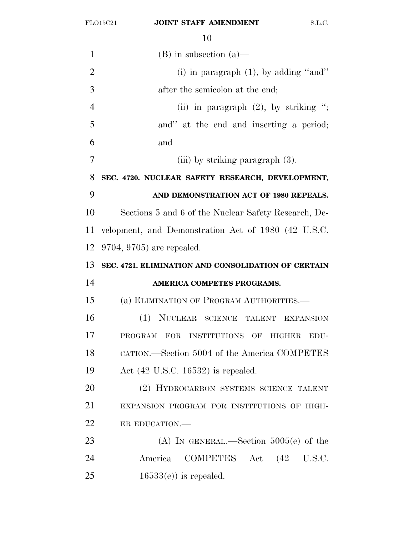| $\mathbf{1}$   | $(B)$ in subsection $(a)$ —                          |
|----------------|------------------------------------------------------|
| $\overline{2}$ | (i) in paragraph $(1)$ , by adding "and"             |
| 3              | after the semicolon at the end;                      |
| $\overline{4}$ | (ii) in paragraph $(2)$ , by striking ";             |
| 5              | and" at the end and inserting a period;              |
| 6              | and                                                  |
| 7              | (iii) by striking paragraph $(3)$ .                  |
| 8              | SEC. 4720. NUCLEAR SAFETY RESEARCH, DEVELOPMENT,     |
| 9              | AND DEMONSTRATION ACT OF 1980 REPEALS.               |
| 10             | Sections 5 and 6 of the Nuclear Safety Research, De- |
| 11             | velopment, and Demonstration Act of 1980 (42 U.S.C.  |
| 12             | $9704, 9705$ are repealed.                           |
| 13             | SEC. 4721. ELIMINATION AND CONSOLIDATION OF CERTAIN  |
| 14             | AMERICA COMPETES PROGRAMS.                           |
| 15             | (a) ELIMINATION OF PROGRAM AUTHORITIES.—             |
| 16             | (1) NUCLEAR SCIENCE TALENT EXPANSION                 |
| 17             | PROGRAM FOR INSTITUTIONS OF<br>HIGHER<br>EDU-        |
| 18             | CATION.—Section 5004 of the America COMPETES         |
| 19             | Act $(42 \text{ U.S.C. } 16532)$ is repealed.        |
| 20             | (2) HYDROCARBON SYSTEMS SCIENCE TALENT               |
| 21             | EXPANSION PROGRAM FOR INSTITUTIONS OF HIGH-          |
| 22             | ER EDUCATION.                                        |
| 23             | (A) IN GENERAL.—Section $5005(e)$ of the             |
| 24             | COMPETES Act (42 U.S.C.<br>America                   |
| 25             | $16533(e)$ is repealed.                              |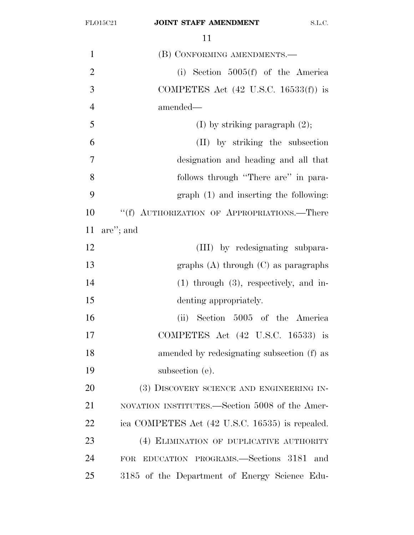| $\mathbf{1}$   | (B) CONFORMING AMENDMENTS.—                            |
|----------------|--------------------------------------------------------|
| $\overline{2}$ | (i) Section $5005(f)$ of the America                   |
| 3              | COMPETES Act $(42 \text{ U.S.C. } 16533(f))$ is        |
| $\overline{4}$ | amended-                                               |
| 5              | (I) by striking paragraph $(2)$ ;                      |
| 6              | (II) by striking the subsection                        |
| $\overline{7}$ | designation and heading and all that                   |
| 8              | follows through "There are" in para-                   |
| 9              | graph (1) and inserting the following:                 |
| 10             | "(f) AUTHORIZATION OF APPROPRIATIONS.—There            |
| 11             | are"; and                                              |
| 12             | (III) by redesignating subpara-                        |
| 13             | graphs $(A)$ through $(C)$ as paragraphs               |
| 14             | $(1)$ through $(3)$ , respectively, and in-            |
| 15             | denting appropriately.                                 |
| 16             | (ii) Section 5005 of the America                       |
| 17             | COMPETES Act (42 U.S.C. 16533) is                      |
| 18             | amended by redesignating subsection (f) as             |
| 19             | subsection (e).                                        |
| 20             | (3) DISCOVERY SCIENCE AND ENGINEERING IN-              |
| 21             | NOVATION INSTITUTES.—Section 5008 of the Amer-         |
| 22             | ica COMPETES Act (42 U.S.C. 16535) is repealed.        |
| 23             | (4) ELIMINATION OF DUPLICATIVE AUTHORITY               |
| 24             | EDUCATION PROGRAMS.-Sections 3181<br>and<br><b>FOR</b> |
| 25             | 3185 of the Department of Energy Science Edu-          |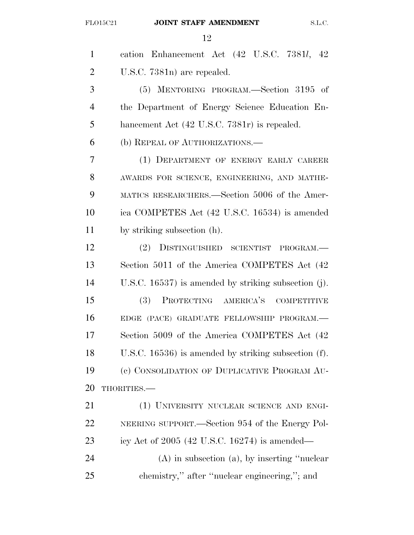| $\mathbf{1}$   | cation Enhancement Act (42 U.S.C. 7381l, 42             |
|----------------|---------------------------------------------------------|
| $\overline{2}$ | U.S.C. 7381n) are repealed.                             |
| 3              | (5) MENTORING PROGRAM.—Section 3195 of                  |
| $\overline{4}$ | the Department of Energy Science Education En-          |
| 5              | hancement Act (42 U.S.C. 7381r) is repealed.            |
| 6              | (b) REPEAL OF AUTHORIZATIONS.—                          |
| 7              | (1) DEPARTMENT OF ENERGY EARLY CAREER                   |
| 8              | AWARDS FOR SCIENCE, ENGINEERING, AND MATHE-             |
| 9              | MATICS RESEARCHERS.—Section 5006 of the Amer-           |
| 10             | ica COMPETES Act (42 U.S.C. 16534) is amended           |
| 11             | by striking subsection (h).                             |
| 12             | DISTINGUISHED SCIENTIST<br>(2)<br>PROGRAM.-             |
| 13             | Section 5011 of the America COMPETES Act (42)           |
| 14             | U.S.C. 16537) is amended by striking subsection (j).    |
| 15             | PROTECTING AMERICA'S COMPETITIVE<br>(3)                 |
| 16             | EDGE (PACE) GRADUATE FELLOWSHIP PROGRAM.-               |
| 17             | Section 5009 of the America COMPETES Act (42            |
| 18             | U.S.C. $16536$ ) is amended by striking subsection (f). |
| 19             | (c) CONSOLIDATION OF DUPLICATIVE PROGRAM AU-            |
| 20             | THORITIES.-                                             |
| 21             | (1) UNIVERSITY NUCLEAR SCIENCE AND ENGI-                |
| 22             | NEERING SUPPORT.—Section 954 of the Energy Pol-         |
| 23             | icy Act of $2005$ (42 U.S.C. 16274) is amended—         |
| 24             | $(A)$ in subsection $(a)$ , by inserting "nuclear"      |
| 25             | chemistry," after "nuclear engineering,"; and           |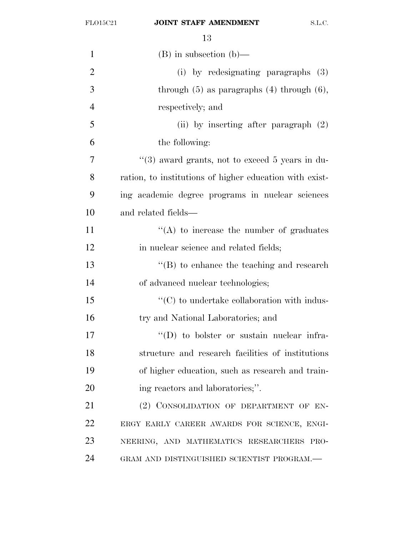| 1              | $(B)$ in subsection $(b)$ —                             |
|----------------|---------------------------------------------------------|
| $\overline{2}$ | (i) by redesignating paragraphs (3)                     |
| 3              | through $(5)$ as paragraphs $(4)$ through $(6)$ ,       |
| $\overline{4}$ | respectively; and                                       |
| 5              | (ii) by inserting after paragraph $(2)$                 |
| 6              | the following:                                          |
| 7              | "(3) award grants, not to exceed 5 years in du-         |
| 8              | ration, to institutions of higher education with exist- |
| 9              | ing academic degree programs in nuclear sciences        |
| 10             | and related fields—                                     |
| 11             | $\lq\lq$ to increase the number of graduates            |
| 12             | in nuclear science and related fields;                  |
| 13             | $\lq\lq (B)$ to enhance the teaching and research       |
| 14             | of advanced nuclear technologies;                       |
| 15             | $\cdot$ (C) to undertake collaboration with indus-      |
| 16             | try and National Laboratories; and                      |
| 17             | $\lq\lq$ to bolster or sustain nuclear infra-           |
| 18             | structure and research facilities of institutions       |
| 19             | of higher education, such as research and train-        |
| 20             | ing reactors and laboratories;".                        |
| 21             | (2) CONSOLIDATION OF DEPARTMENT OF EN-                  |
| 22             | ERGY EARLY CAREER AWARDS FOR SCIENCE, ENGI-             |
| 23             | NEERING, AND MATHEMATICS RESEARCHERS PRO-               |
| 24             | GRAM AND DISTINGUISHED SCIENTIST PROGRAM.—              |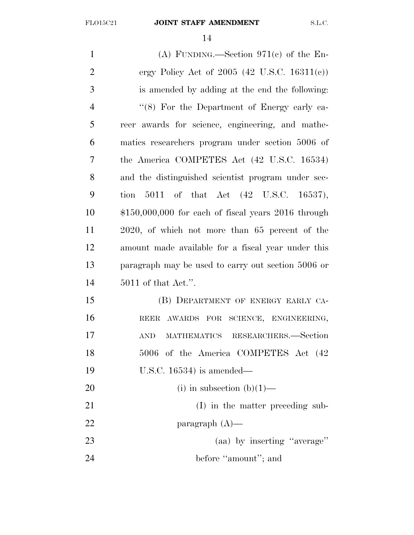| $\mathbf{1}$   | (A) FUNDING.—Section $971(c)$ of the En-               |
|----------------|--------------------------------------------------------|
| $\overline{2}$ | ergy Policy Act of 2005 (42 U.S.C. 16311(c))           |
| 3              | is amended by adding at the end the following:         |
| $\overline{4}$ | " $(8)$ For the Department of Energy early ca-         |
| 5              | reer awards for science, engineering, and mathe-       |
| 6              | matics researchers program under section 5006 of       |
| 7              | the America COMPETES Act (42 U.S.C. 16534)             |
| 8              | and the distinguished scientist program under sec-     |
| 9              | tion $5011$ of that Act $(42 \text{ U.S.C. } 16537)$ , |
| 10             | $$150,000,000$ for each of fiscal years 2016 through   |
| 11             | 2020, of which not more than 65 percent of the         |
| 12             | amount made available for a fiscal year under this     |
| 13             | paragraph may be used to carry out section 5006 or     |
| 14             | $5011$ of that Act.".                                  |
| 15             | (B) DEPARTMENT OF ENERGY EARLY CA-                     |
| 16             | REER AWARDS FOR SCIENCE, ENGINEERING,                  |
| 17             | MATHEMATICS RESEARCHERS.-Section<br><b>AND</b>         |
| 18             | 5006 of the America COMPETES Act (42                   |
| 19             | U.S.C. $16534$ ) is amended—                           |
| <b>20</b>      | (i) in subsection (b) $(1)$ —                          |
| 21             | (I) in the matter preceding sub-                       |
| 22             | paragraph $(A)$ —                                      |
| 23             | (aa) by inserting "average"                            |
| 24             | before "amount"; and                                   |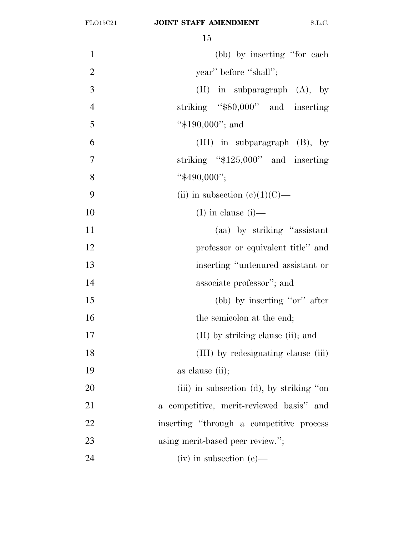| $\mathbf{1}$   | (bb) by inserting "for each"              |  |
|----------------|-------------------------------------------|--|
| $\overline{2}$ | year" before "shall";                     |  |
| 3              | $(II)$ in subparagraph $(A)$ , by         |  |
| $\overline{4}$ | striking "\$80,000" and inserting         |  |
| 5              | " $$190,000"$ ; and                       |  |
| 6              | (III) in subparagraph $(B)$ , by          |  |
| $\tau$         | striking " $$125,000"$ and inserting      |  |
| 8              | " $$490,000"$ ;                           |  |
| 9              | (ii) in subsection (c)(1)(C)—             |  |
| 10             | (I) in clause $(i)$ —                     |  |
| 11             | (aa) by striking "assistant"              |  |
| 12             | professor or equivalent title" and        |  |
| 13             | inserting "untenured assistant or         |  |
| 14             | associate professor"; and                 |  |
| 15             | (bb) by inserting "or" after              |  |
| 16             | the semicolon at the end;                 |  |
| 17             | $(II)$ by striking clause (ii); and       |  |
| 18             | (III) by redesignating clause (iii)       |  |
| 19             | as clause (ii);                           |  |
| 20             | (iii) in subsection (d), by striking "on  |  |
| 21             | a competitive, merit-reviewed basis" and  |  |
| 22             | inserting "through a competitive process" |  |
| 23             | using merit-based peer review.";          |  |
| 24             | $(iv)$ in subsection $(e)$ —              |  |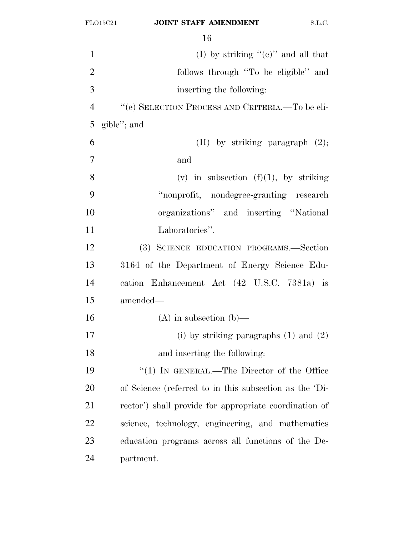| $\mathbf{1}$   | (I) by striking " $(e)$ " and all that                 |  |
|----------------|--------------------------------------------------------|--|
| $\overline{2}$ | follows through "To be eligible" and                   |  |
| 3              | inserting the following:                               |  |
| $\overline{4}$ | "(e) SELECTION PROCESS AND CRITERIA.—To be eli-        |  |
| 5              | gible"; and                                            |  |
| 6              | $(II)$ by striking paragraph $(2)$ ;                   |  |
| $\overline{7}$ | and                                                    |  |
| 8              | (v) in subsection $(f)(1)$ , by striking               |  |
| 9              | "nonprofit, nondegree-granting research                |  |
| 10             | organizations" and inserting "National                 |  |
| 11             | Laboratories".                                         |  |
| 12             | (3) SCIENCE EDUCATION PROGRAMS.-Section                |  |
| 13             | 3164 of the Department of Energy Science Edu-          |  |
| 14             | cation Enhancement Act (42 U.S.C. 7381a) is            |  |
| 15             | amended—                                               |  |
| 16             | $(A)$ in subsection $(b)$ —                            |  |
| 17             | (i) by striking paragraphs $(1)$ and $(2)$             |  |
| 18             | and inserting the following:                           |  |
| 19             | "(1) IN GENERAL.—The Director of the Office            |  |
| 20             | of Science (referred to in this subsection as the 'Di- |  |
| 21             | rector') shall provide for appropriate coordination of |  |
| 22             | science, technology, engineering, and mathematics      |  |
| 23             | education programs across all functions of the De-     |  |
| 24             | partment.                                              |  |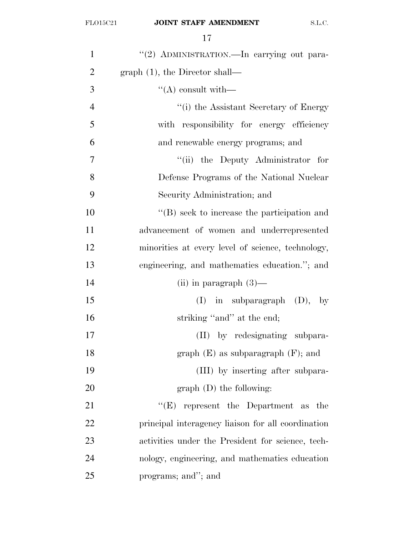| $\mathbf{1}$   | "(2) ADMINISTRATION.—In carrying out para-         |
|----------------|----------------------------------------------------|
| $\overline{2}$ | graph $(1)$ , the Director shall—                  |
| 3              | $\lq\lq$ consult with —                            |
| $\overline{4}$ | "(i) the Assistant Secretary of Energy             |
| 5              | with responsibility for energy efficiency          |
| 6              | and renewable energy programs; and                 |
| 7              | "(ii) the Deputy Administrator for                 |
| 8              | Defense Programs of the National Nuclear           |
| 9              | Security Administration; and                       |
| 10             | $\lq\lq$ seek to increase the participation and    |
| 11             | advancement of women and underrepresented          |
| 12             | minorities at every level of science, technology,  |
| 13             | engineering, and mathematics education."; and      |
| 14             | (ii) in paragraph $(3)$ —                          |
| 15             | $(I)$ in subparagraph $(D)$ , by                   |
| 16             | striking "and" at the end;                         |
| 17             | (II) by redesignating subpara-                     |
| 18             | graph $(E)$ as subparagraph $(F)$ ; and            |
| 19             | (III) by inserting after subpara-                  |
| 20             | $graph$ (D) the following:                         |
| 21             | $\lq\lq(E)$ represent the Department as the        |
| 22             | principal interagency liaison for all coordination |
| 23             | activities under the President for science, tech-  |
| 24             | nology, engineering, and mathematics education     |
| 25             | programs; and"; and                                |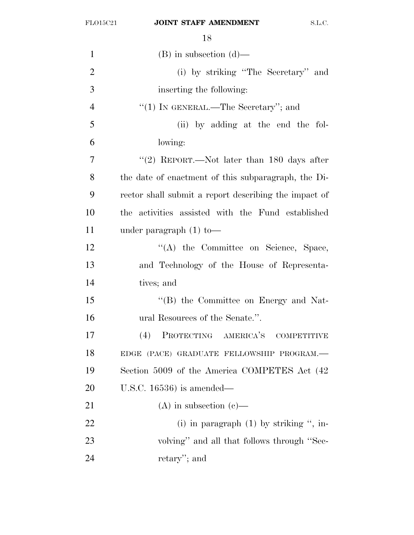| $\mathbf{1}$   | $(B)$ in subsection $(d)$ —                           |
|----------------|-------------------------------------------------------|
| $\overline{2}$ | (i) by striking "The Secretary" and                   |
| 3              | inserting the following:                              |
| $\overline{4}$ | "(1) IN GENERAL.—The Secretary"; and                  |
| 5              | (ii) by adding at the end the fol-                    |
| 6              | lowing:                                               |
| 7              | "(2) REPORT.—Not later than $180$ days after          |
| 8              | the date of enactment of this subparagraph, the Di-   |
| 9              | rector shall submit a report describing the impact of |
| 10             | the activities assisted with the Fund established     |
| 11             | under paragraph $(1)$ to —                            |
| 12             | "(A) the Committee on Science, Space,                 |
| 13             | and Technology of the House of Representa-            |
| 14             | tives; and                                            |
| 15             | "(B) the Committee on Energy and Nat-                 |
| 16             | ural Resources of the Senate.".                       |
| 17             | PROTECTING AMERICA'S COMPETITIVE<br>(4)               |
| 18             | EDGE (PACE) GRADUATE FELLOWSHIP PROGRAM.-             |
| 19             | Section 5009 of the America COMPETES Act (42)         |
| 20             | U.S.C. $16536$ ) is amended—                          |
| 21             | $(A)$ in subsection $(e)$ —                           |
| 22             | (i) in paragraph $(1)$ by striking ", in-             |
| 23             | volving" and all that follows through "Sec-           |
| 24             | retary"; and                                          |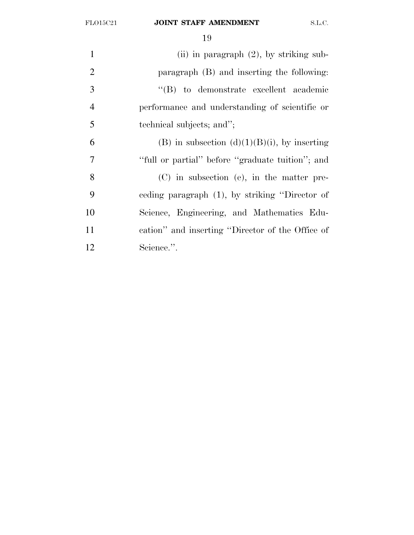| $\mathbf{1}$   | (ii) in paragraph $(2)$ , by striking sub-       |
|----------------|--------------------------------------------------|
| 2              | paragraph $(B)$ and inserting the following:     |
| 3              | "(B) to demonstrate excellent academic           |
| $\overline{4}$ | performance and understanding of scientific or   |
| 5              | technical subjects; and";                        |
| 6              | (B) in subsection $(d)(1)(B)(i)$ , by inserting  |
| 7              | "full or partial" before "graduate tuition"; and |
| 8              | $(C)$ in subsection (e), in the matter pre-      |
| 9              | eeding paragraph (1), by striking "Director of   |
| 10             | Science, Engineering, and Mathematics Edu-       |
| 11             | cation" and inserting "Director of the Office of |
| 12             | Science.".                                       |
|                |                                                  |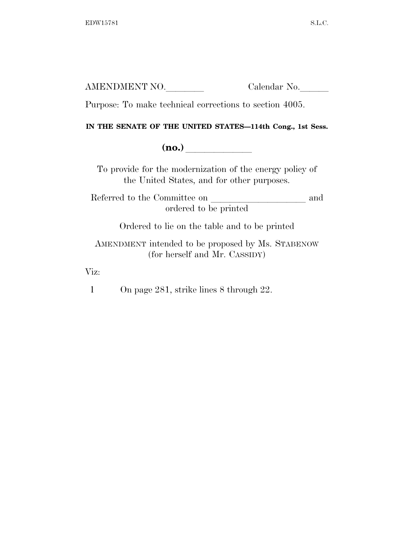| AMENDMENT NO. | Calendar No. |
|---------------|--------------|
|               |              |

Purpose: To make technical corrections to section 4005.

#### **IN THE SENATE OF THE UNITED STATES—114th Cong., 1st Sess.**

**(no.)** 

To provide for the modernization of the energy policy of the United States, and for other purposes.

Referred to the Committee on land ordered to be printed

Ordered to lie on the table and to be printed

AMENDMENT intended to be proposed by Ms. STABENOW (for herself and Mr. CASSIDY)

Viz:

1 On page 281, strike lines 8 through 22.